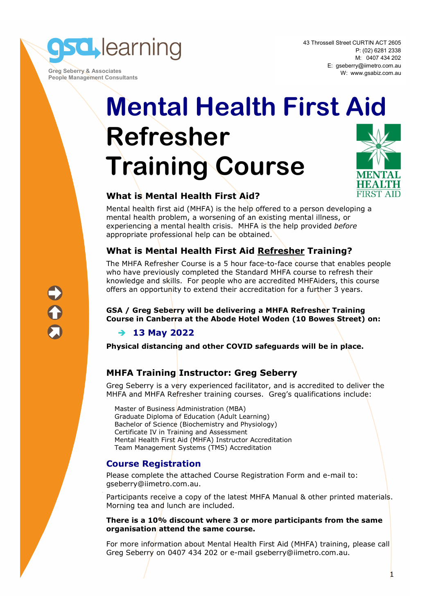**sd** learning

 **Greg Seberry & Associates People Management Consultants**  43 Throssell Street CURTIN ACT 2605 P: (02) 6281 2338 M: 0407 434 202 E: gseberry@iimetro.com.au W: www.gsabiz.com.au

**FIRST AID** 

# **Mental Health First Aid Refresher Training Course**

# **What is Mental Health First Aid?**

Mental health first aid (MHFA) is the help offered to a person developing a mental health problem, a worsening of an existing mental illness, or experiencing a mental health crisis. MHFA is the help provided *before* appropriate professional help can be obtained.

### **What is Mental Health First Aid Refresher Training?**

The MHFA Refresher Course is a 5 hour face-to-face course that enables people who have previously completed the Standard MHFA course to refresh their knowledge and skills. For people who are accredited MHFAiders, this course offers an opportunity to extend their accreditation for a further 3 years.

**GSA / Greg Seberry will be delivering a MHFA Refresher Training Course in Canberra at the Abode Hotel Woden (10 Bowes Street) on:** 

# **13 May 2022**

**Physical distancing and other COVID safeguards will be in place.** 

# **MHFA Training Instructor: Greg Seberry**

Greg Seberry is a very experienced facilitator, and is accredited to deliver the MHFA and MHFA Refresher training courses. Greg's qualifications include:

Master of Business Administration (MBA) Graduate Diploma of Education (Adult Learning) Bachelor of Science (Biochemistry and Physiology) Certificate IV in Training and Assessment Mental Health First Aid (MHFA) Instructor Accreditation Team Management Systems (TMS) Accreditation

### **Course Registration**

Please complete the attached Course Registration Form and e-mail to: gseberry@iimetro.com.au.

Participants receive a copy of the latest MHFA Manual & other printed materials. Morning tea and lunch are included.

#### **There is a 10% discount where 3 or more participants from the same organisation attend the same course.**

For more information about Mental Health First Aid (MHFA) training, please call Greg Seberry on 0407 434 202 or e-mail gseberry@iimetro.com.au.